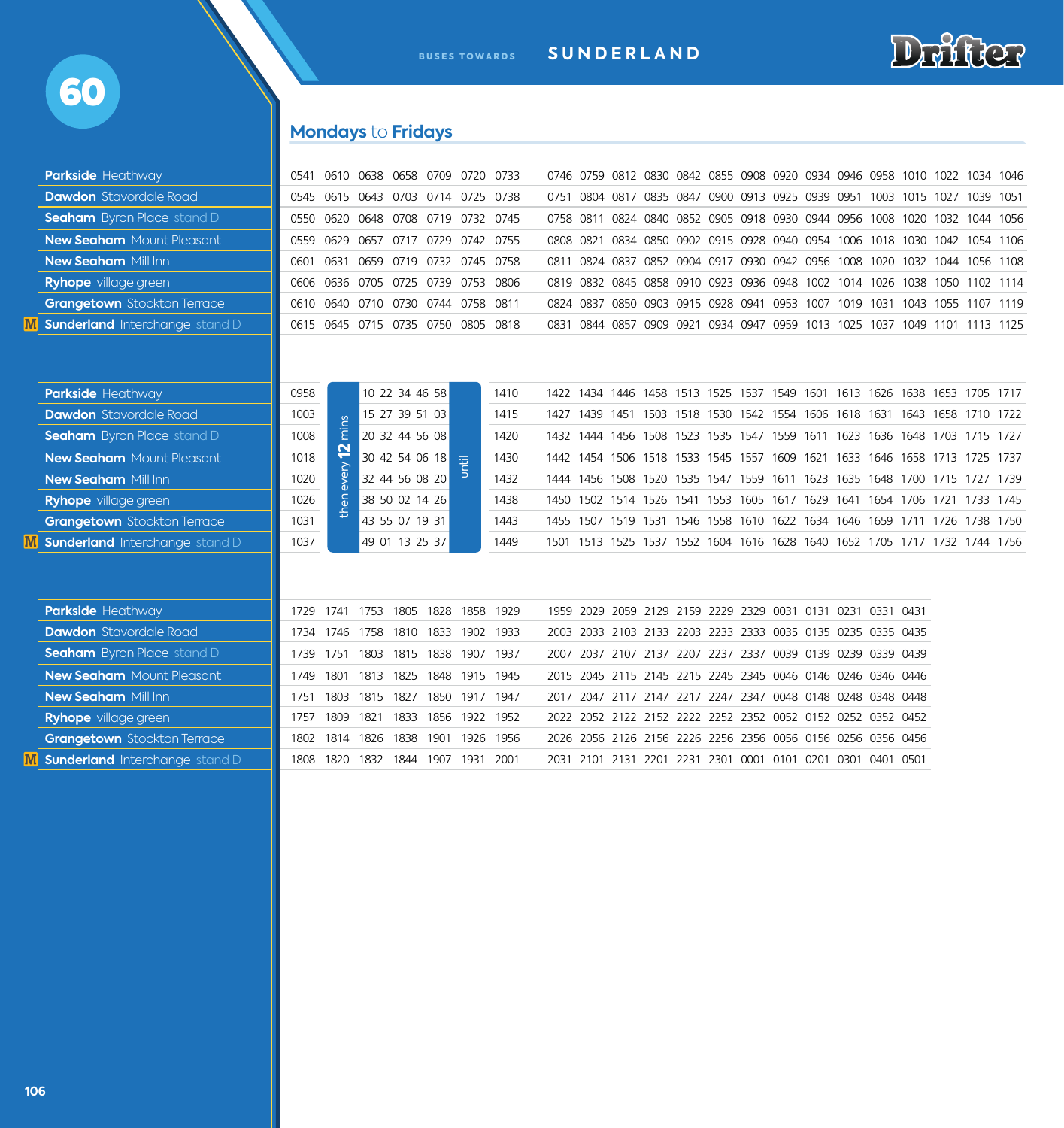

# **Mondays** to **Fridays**

| <b>Parkside Heathway</b>              | 0541 | 0610 0638 0658 0709 0720 0733      |                |                |                     |      |           |                                                             |  |  |  |  |  | 0746 0759 0812 0830 0842 0855 0908 0920 0934 0946 0958 1010 1022 1034 1046 |  |
|---------------------------------------|------|------------------------------------|----------------|----------------|---------------------|------|-----------|-------------------------------------------------------------|--|--|--|--|--|----------------------------------------------------------------------------|--|
| <b>Dawdon</b> Stavordale Road         |      | 0545 0615 0643 0703 0714 0725 0738 |                |                |                     |      |           |                                                             |  |  |  |  |  | 0751 0804 0817 0835 0847 0900 0913 0925 0939 0951 1003 1015 1027 1039 1051 |  |
| <b>Seaham</b> Byron Place stand D     | 0550 | 0620 0648 0708 0719 0732 0745      |                |                |                     |      |           |                                                             |  |  |  |  |  | 0758 0811 0824 0840 0852 0905 0918 0930 0944 0956 1008 1020 1032 1044 1056 |  |
| <b>New Seaham</b> Mount Pleasant      | 0559 | 0629 0657 0717 0729 0742 0755      |                |                |                     |      | 0808 0821 |                                                             |  |  |  |  |  | 0834 0850 0902 0915 0928 0940 0954 1006 1018 1030 1042 1054 1106           |  |
| <b>New Seaham Mill Inn</b>            | 0601 | 0631 0659 0719 0732 0745 0758      |                |                |                     |      |           |                                                             |  |  |  |  |  | 0811 0824 0837 0852 0904 0917 0930 0942 0956 1008 1020 1032 1044 1056 1108 |  |
| <b>Ryhope</b> village green           | 0606 | 0636 0705 0725 0739 0753 0806      |                |                |                     |      |           | 0819 0832 0845 0858 0910 0923 0936 0948 1002 1014 1026      |  |  |  |  |  | 1038 1050 1102 1114                                                        |  |
| <b>Grangetown</b> Stockton Terrace    | 0610 | 0640 0710 0730 0744 0758 0811      |                |                |                     |      |           |                                                             |  |  |  |  |  | 0824 0837 0850 0903 0915 0928 0941 0953 1007 1019 1031 1043 1055 1107 1119 |  |
| Sunderland Interchange stand D        |      | 0615 0645 0715 0735 0750 0805 0818 |                |                |                     |      |           |                                                             |  |  |  |  |  | 0831 0844 0857 0909 0921 0934 0947 0959 1013 1025 1037 1049 1101 1113 1125 |  |
|                                       |      |                                    |                |                |                     |      |           |                                                             |  |  |  |  |  |                                                                            |  |
| <b>Parkside Heathway</b>              | 0958 |                                    |                | 10 22 34 46 58 |                     | 1410 |           |                                                             |  |  |  |  |  | 1422 1434 1446 1458 1513 1525 1537 1549 1601 1613 1626 1638 1653 1705 1717 |  |
| <b>Dawdon</b> Stavordale Road         | 1003 | mins                               |                | 15 27 39 51 03 |                     | 1415 |           |                                                             |  |  |  |  |  | 1427 1439 1451 1503 1518 1530 1542 1554 1606 1618 1631 1643 1658 1710 1722 |  |
| <b>Seaham</b> Byron Place stand D     | 1008 |                                    |                | 20 32 44 56 08 |                     | 1420 |           |                                                             |  |  |  |  |  | 1432 1444 1456 1508 1523 1535 1547 1559 1611 1623 1636 1648 1703 1715 1727 |  |
| <b>New Seaham</b> Mount Pleasant      | 1018 | 2                                  |                | 30 42 54 06 18 | until               | 1430 |           |                                                             |  |  |  |  |  | 1442 1454 1506 1518 1533 1545 1557 1609 1621 1633 1646 1658 1713 1725 1737 |  |
| <b>New Seaham Mill Inn</b>            | 1020 | every                              |                | 32 44 56 08 20 |                     | 1432 |           |                                                             |  |  |  |  |  | 1444 1456 1508 1520 1535 1547 1559 1611 1623 1635 1648 1700 1715 1727 1739 |  |
| <b>Ryhope</b> village green           | 1026 | then                               |                | 38 50 02 14 26 |                     | 1438 |           |                                                             |  |  |  |  |  | 1450 1502 1514 1526 1541 1553 1605 1617 1629 1641 1654 1706 1721 1733 1745 |  |
| <b>Grangetown</b> Stockton Terrace    | 1031 |                                    |                | 43 55 07 19 31 |                     | 1443 |           |                                                             |  |  |  |  |  | 1455 1507 1519 1531 1546 1558 1610 1622 1634 1646 1659 1711 1726 1738 1750 |  |
| <b>Sunderland</b> Interchange stand D | 1037 |                                    |                | 49 01 13 25 37 |                     | 1449 |           |                                                             |  |  |  |  |  | 1501 1513 1525 1537 1552 1604 1616 1628 1640 1652 1705 1717 1732 1744 1756 |  |
|                                       |      |                                    |                |                |                     |      |           |                                                             |  |  |  |  |  |                                                                            |  |
| <b>Parkside Heathway</b>              |      | 1729 1741 1753 1805 1828 1858 1929 |                |                |                     |      |           | 1959 2029 2059 2129 2159 2229 2329 0031 0131 0231 0331 0431 |  |  |  |  |  |                                                                            |  |
| <b>Dawdon</b> Stavordale Road         |      | 1734 1746 1758 1810 1833 1902 1933 |                |                |                     |      |           | 2003 2033 2103 2133 2203 2233 2333 0035 0135 0235 0335 0435 |  |  |  |  |  |                                                                            |  |
| <b>Seaham</b> Byron Place stand D     | 1739 | 1751 1803 1815 1838 1907 1937      |                |                |                     |      |           | 2007 2037 2107 2137 2207 2237 2337 0039 0139 0239 0339 0439 |  |  |  |  |  |                                                                            |  |
| <b>New Seaham</b> Mount Pleasant      |      | 1749 1801 1813 1825 1848 1915 1945 |                |                |                     |      |           | 2015 2045 2115 2145 2215 2245 2345 0046 0146 0246 0346 0446 |  |  |  |  |  |                                                                            |  |
| <b>New Seaham Mill Inn</b>            | 1751 | 1803                               | 1815 1827      |                | 1850 1917 1947      |      |           | 2017 2047 2117 2147 2217 2247 2347 0048 0148 0248 0348 0448 |  |  |  |  |  |                                                                            |  |
| <b>Ryhope</b> village green           | 1757 | 1809                               | 1821           |                | 1833 1856 1922 1952 |      |           | 2022 2052 2122 2152 2222 2252 2352 0052 0152 0252 0352 0452 |  |  |  |  |  |                                                                            |  |
| <b>Grangetown</b> Stockton Terrace    |      | 1802 1814 1826 1838 1901 1926 1956 |                |                |                     |      |           | 2026 2056 2126 2156 2226 2256 2356 0056 0156 0256 0356 0456 |  |  |  |  |  |                                                                            |  |
| Sunderland Interchange stand D        | 1808 | 1820                               | 1832 1844 1907 |                | 1931                | 2001 |           | 2031 2101 2131 2201 2231 2301 0001 0101 0201 0301 0401 0501 |  |  |  |  |  |                                                                            |  |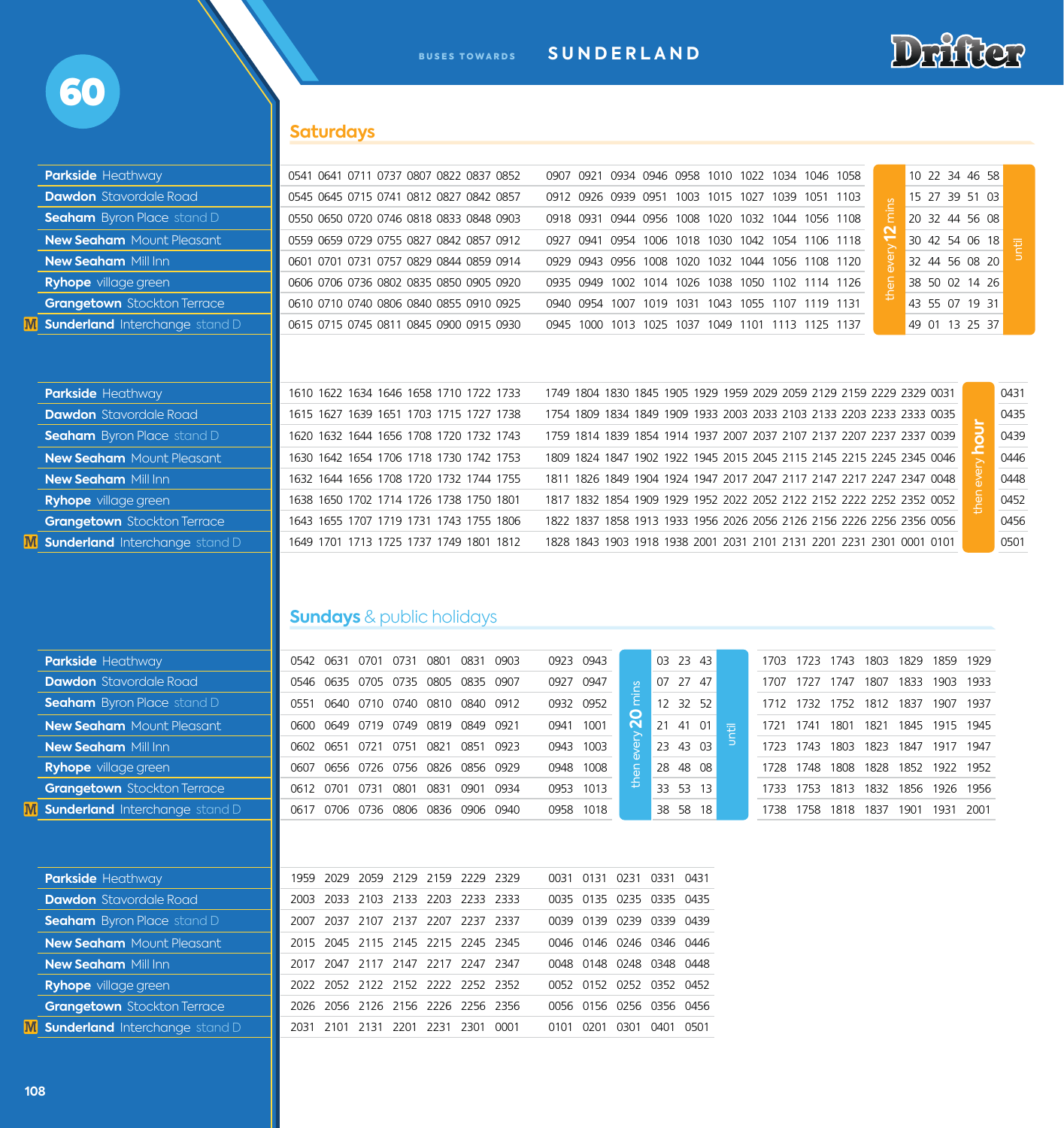

# **Saturdays**

| <b>Parkside Heathway</b>              | 0541 0641 0711 0737 0807 0822 0837 0852 | 10 22 34 46 58<br>0934 0946 0958 1010 1022 1034 1046 1058<br>0907<br>0921             |  |
|---------------------------------------|-----------------------------------------|---------------------------------------------------------------------------------------|--|
| <b>Dawdon</b> Stavordale Road         | 0545 0645 0715 0741 0812 0827 0842 0857 | 15 27 39 51 03<br>0912 0926 0939 0951 1003 1015 1027 1039 1051 1103                   |  |
| <b>Seaham</b> Byron Place stand D     | 0550 0650 0720 0746 0818 0833 0848 0903 | 0944 0956 1008<br>1020 1032 1044 1056 1108<br>20 32 44 56 08<br>0918 0931             |  |
| <b>New Seaham</b> Mount Pleasant      | 0559 0659 0729 0755 0827 0842 0857 0912 | $\sim$<br>30 42 54 06 18<br>0927 0941<br>0954 1006 1018 1030 1042 1054 1106 1118<br>逗 |  |
| <b>New Seaham Mill Inn</b>            | 0601 0701 0731 0757 0829 0844 0859 0914 | 32 44 56 08 20<br>0929 0943 0956 1008 1020<br>1032 1044 1056 1108 1120                |  |
| <b>Ryhope</b> village green           | 0606 0706 0736 0802 0835 0850 0905 0920 | 38 50 02 14 26<br>0935 0949<br>1002 1014 1026<br>1038 1050 1102 1114 1126             |  |
| <b>Grangetown</b> Stockton Terrace    | 0610 0710 0740 0806 0840 0855 0910 0925 | 43 55 07 19 31<br>0940 0954<br>1007 1019 1031<br>1043 1055 1107 1119 1131             |  |
| <b>Sunderland</b> Interchange stand D | 0615 0715 0745 0811 0845 0900 0915 0930 | 49 01 13 25 37<br>1000<br>1013 1025 1037 1049 1101 1113 1125 1137<br>0945             |  |
| <b>Parkside Heathway</b>              | 1610 1622 1634 1646 1658 1710 1722 1733 | 1749 1804 1830 1845 1905 1929 1959 2029 2059 2129 2159 2229 2329 0031<br>0431         |  |
| <b>Dawdon</b> Stavordale Road         | 1615 1627 1639 1651 1703 1715 1727 1738 | 0435<br>1754 1809 1834 1849 1909 1933 2003 2033 2103 2133 2203 2233 2333 0035         |  |
| <b>Seaham</b> Byron Place stand D     | 1620 1632 1644 1656 1708 1720 1732 1743 | 0439<br>1759 1814 1839 1854 1914 1937 2007 2037 2107 2137 2207 2237 2337 0039         |  |
| <b>New Seaham</b> Mount Pleasant      | 1630 1642 1654 1706 1718 1730 1742 1753 | 1809 1824 1847 1902 1922 1945 2015 2045 2115 2145 2215 2245 2345 0046<br>0446         |  |
| <b>New Seaham Mill Inn</b>            | 1632 1644 1656 1708 1720 1732 1744 1755 | 0448<br>1811 1826 1849 1904 1924 1947 2017 2047 2117 2147 2217 2247 2347 0048         |  |
| <b>Ryhope</b> village green           | 1638 1650 1702 1714 1726 1738 1750 1801 | 0452<br>1817 1832 1854 1909 1929 1952 2022 2052 2122 2152 2222 2252 2352 0052         |  |
| <b>Grangetown</b> Stockton Terrace    | 1643 1655 1707 1719 1731 1743 1755 1806 | 1822 1837 1858 1913 1933 1956 2026 2056 2126 2156 2226 2256 2356 0056<br>0456         |  |
| <b>Sunderland</b> Interchange stand D | 1649 1701 1713 1725 1737 1749 1801 1812 | 0501<br>1828 1843 1903 1918 1938 2001 2031 2101 2131 2201 2231 2301 0001 0101         |  |
|                                       |                                         |                                                                                       |  |

## **Sundays** & public holidays

| <b>Parkside Heathway</b>              |           | 0542 0631                          | 0701 0731 0801 |      |                               | 0831      | 0903 | 0923 0943 |                          |                 |      | 03 23 43  |   | 1703 | 1723      | 1743 | 1803      | 1829 | 1859           | 1929 |
|---------------------------------------|-----------|------------------------------------|----------------|------|-------------------------------|-----------|------|-----------|--------------------------|-----------------|------|-----------|---|------|-----------|------|-----------|------|----------------|------|
| <b>Dawdon</b> Stavordale Road         |           | 0546 0635 0705 0735 0805 0835 0907 |                |      |                               |           |      | 0927      | 0947                     |                 | 07   | 27 47     |   | 1707 | 1727      | 1747 | 1807      | 1833 | 1903           | 1933 |
| <b>Seaham</b> Byron Place stand D     | 0551      |                                    |                |      | 0640 0710 0740 0810 0840      |           | 0912 |           | 0932 0952                |                 |      | 12 32 52  |   |      | 1712 1732 | 1752 | 1812 1837 |      | 1907           | 1937 |
| <b>New Seaham</b> Mount Pleasant      | 0600      | 0649                               | 0719 0749      |      | 0819                          | 0849      | 0921 | 0941      | 1001                     | $\mathbf{\sim}$ |      | 21 41 01  | 辰 | 1721 | 1741      | 1801 | 1821      | 1845 | 1915           | 1945 |
| <b>New Seaham Mill Inn</b>            | 0602 0651 |                                    | 0721           | 0751 | 0821                          | 0851      | 0923 | 0943      | 1003                     |                 | 23   | 43 03     |   | 1723 | 1743      | 1803 | 1823      | 1847 | 1917           | 1947 |
| <b>Ryhope</b> village green           | 0607      |                                    |                |      | 0656 0726 0756 0826 0856 0929 |           |      | 0948      | 1008                     |                 |      | 28 48 08  |   | 1728 | 1748      | 1808 | 1828      | 1852 | 1922           | 1952 |
| <b>Grangetown</b> Stockton Terrace    |           | 0612 0701                          | 0731 0801      |      | 0831                          | 0901 0934 |      | 0953 1013 |                          |                 |      | 33 53 13  |   | 1733 | 1753      | 1813 | 1832      |      | 1856 1926 1956 |      |
| <b>Sunderland</b> Interchange stand D | 0617      |                                    |                |      | 0706 0736 0806 0836 0906 0940 |           |      |           | 0958 1018                |                 | 38   | 58<br>18  |   | 1738 | 1758      | 1818 | 1837      | 1901 | 1931 2001      |      |
|                                       |           |                                    |                |      |                               |           |      |           |                          |                 |      |           |   |      |           |      |           |      |                |      |
| <b>Parkside Heathway</b>              | 1959      | 2029                               |                |      | 2059 2129 2159                | 2229 2329 |      | 0031      | 0131                     | 0231            |      | 0331 0431 |   |      |           |      |           |      |                |      |
| <b>Dawdon</b> Stavordale Road         | 2003      | 2033                               |                |      | 2103 2133 2203 2233 2333      |           |      |           | 0035 0135 0235 0335 0435 |                 |      |           |   |      |           |      |           |      |                |      |
| <b>Seaham</b> Byron Place stand D     | 2007      | 2037                               |                |      | 2107 2137 2207                | 2237 2337 |      |           | 0039 0139 0239           |                 |      | 0339 0439 |   |      |           |      |           |      |                |      |
| <b>New Seaham</b> Mount Pleasant      | 2015      |                                    |                |      | 2045 2115 2145 2215 2245 2345 |           |      |           | 0046 0146 0246 0346 0446 |                 |      |           |   |      |           |      |           |      |                |      |
| <b>New Seaham Mill Inn</b>            | 2017      |                                    |                |      | 2047 2117 2147 2217 2247 2347 |           |      |           | 0048 0148                | 0248 0348 0448  |      |           |   |      |           |      |           |      |                |      |
| <b>Ryhope</b> village green           | 2022      |                                    |                |      | 2052 2122 2152 2222 2252 2352 |           |      |           | 0052 0152 0252 0352 0452 |                 |      |           |   |      |           |      |           |      |                |      |
| <b>Grangetown</b> Stockton Terrace    | 2026      | 2056 2126 2156 2226 2256 2356      |                |      |                               |           |      |           | 0056 0156 0256 0356 0456 |                 |      |           |   |      |           |      |           |      |                |      |
| <b>Sunderland</b> Interchange stand D | 2031      | 2101                               | 2131           | 2201 | 2231 2301                     |           | 0001 | 0101      | 0201                     | 0301            | 0401 | 0501      |   |      |           |      |           |      |                |      |
|                                       |           |                                    |                |      |                               |           |      |           |                          |                 |      |           |   |      |           |      |           |      |                |      |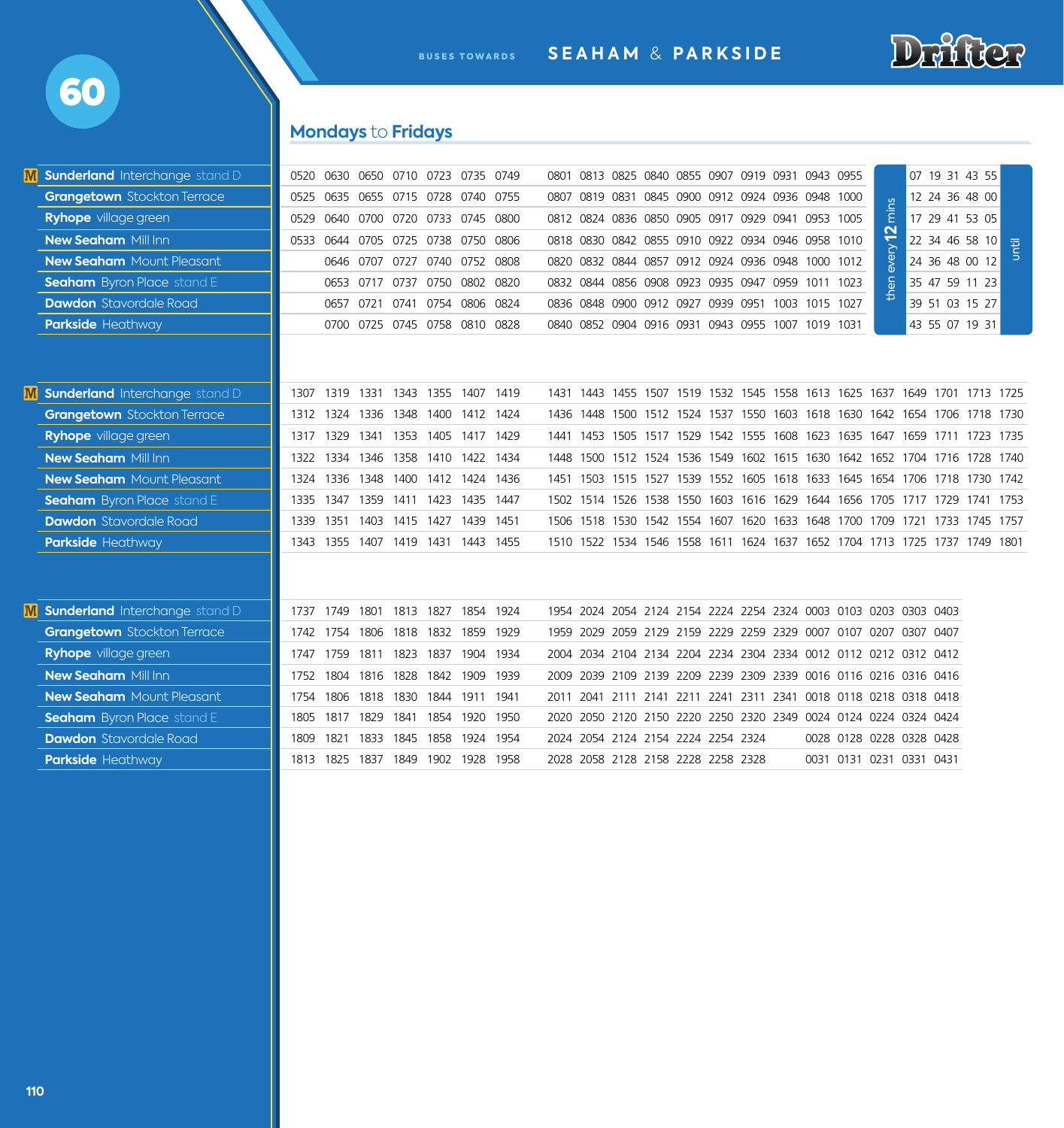

BUSES TOWARDS **SEAHAM** & **PARKSIDE**

# **Mondays** to **Fridays**

| <b>M Sunderland</b> Interchange stand D |      |           |      | 0520 0630 0650 0710 0723 0735 0749 |      |           |      |      | 0801 0813 0825 0840 0855 0907 0919 0931 0943 0955                          |  |  |  |            |                          | 07 19 31 43 55 |      |
|-----------------------------------------|------|-----------|------|------------------------------------|------|-----------|------|------|----------------------------------------------------------------------------|--|--|--|------------|--------------------------|----------------|------|
| <b>Grangetown</b> Stockton Terrace      |      |           |      | 0525 0635 0655 0715 0728 0740 0755 |      |           |      | 0807 | 0819 0831 0845 0900 0912 0924 0936 0948 1000                               |  |  |  |            |                          | 12 24 36 48 00 |      |
| <b>Ryhope</b> village green             |      |           |      | 0529 0640 0700 0720 0733 0745 0800 |      |           |      |      | 0812 0824 0836 0850 0905 0917 0929 0941 0953 1005                          |  |  |  | mins       |                          | 17 29 41 53 05 |      |
| <b>New Seaham Mill Inn</b>              |      |           |      | 0533 0644 0705 0725 0738 0750 0806 |      |           |      |      | 0818 0830 0842 0855 0910 0922 0934 0946 0958 1010                          |  |  |  | every $12$ |                          | 22 34 46 58 10 | i El |
| <b>New Seaham</b> Mount Pleasant        |      |           |      | 0646 0707 0727 0740 0752 0808      |      |           |      | 0820 | 0832 0844 0857 0912 0924 0936 0948 1000 1012                               |  |  |  |            |                          | 24 36 48 00 12 |      |
| <b>Seaham</b> Byron Place stand E       |      |           |      | 0653 0717 0737 0750 0802 0820      |      |           |      | 0832 | 0844 0856 0908 0923 0935 0947 0959 1011 1023                               |  |  |  | then       |                          | 35 47 59 11 23 |      |
| <b>Dawdon</b> Stavordale Road           |      |           |      | 0657 0721 0741 0754 0806 0824      |      |           |      |      | 0836 0848 0900 0912 0927 0939 0951 1003 1015 1027                          |  |  |  |            |                          | 39 51 03 15 27 |      |
| <b>Parkside Heathway</b>                |      |           |      | 0700 0725 0745 0758 0810 0828      |      |           |      | 0840 | 0852 0904 0916 0931 0943 0955 1007 1019 1031                               |  |  |  |            |                          | 43 55 07 19 31 |      |
|                                         |      |           |      |                                    |      |           |      |      |                                                                            |  |  |  |            |                          |                |      |
| <b>M</b> Sunderland Interchange stand D | 1307 |           |      | 1319 1331 1343 1355 1407 1419      |      |           |      |      | 1431 1443 1455 1507 1519 1532 1545 1558 1613 1625 1637 1649 1701 1713 1725 |  |  |  |            |                          |                |      |
| <b>Grangetown</b> Stockton Terrace      | 1312 | 1324 1336 |      | 1348                               | 1400 | 1412 1424 |      | 1436 | 1448 1500 1512 1524 1537 1550 1603 1618 1630 1642 1654 1706 1718 1730      |  |  |  |            |                          |                |      |
| <b>Ryhope</b> village green             | 1317 | 1329      |      | 1341 1353 1405                     |      | 1417 1429 |      | 1441 | 1453 1505 1517 1529 1542 1555 1608 1623 1635 1647 1659 1711 1723 1735      |  |  |  |            |                          |                |      |
| <b>New Seaham Mill Inn</b>              | 1322 | 1334      |      | 1346 1358 1410 1422 1434           |      |           |      | 1448 | 1500 1512 1524 1536 1549 1602 1615 1630 1642 1652 1704 1716 1728 1740      |  |  |  |            |                          |                |      |
| <b>New Seaham</b> Mount Pleasant        | 1324 | 1336      |      | 1348 1400 1412 1424 1436           |      |           |      | 1451 | 1503 1515 1527 1539 1552 1605 1618 1633 1645 1654 1706 1718 1730 1742      |  |  |  |            |                          |                |      |
| <b>Seaham</b> Byron Place stand E       |      | 1335 1347 |      | 1359 1411 1423 1435 1447           |      |           |      |      | 1502 1514 1526 1538 1550 1603 1616 1629 1644 1656 1705 1717 1729 1741 1753 |  |  |  |            |                          |                |      |
| <b>Dawdon</b> Stavordale Road           | 1339 |           |      | 1351 1403 1415 1427 1439 1451      |      |           |      |      | 1506 1518 1530 1542 1554 1607 1620 1633 1648 1700 1709 1721 1733 1745 1757 |  |  |  |            |                          |                |      |
| <b>Parkside Heathway</b>                | 1343 |           |      | 1355 1407 1419 1431 1443 1455      |      |           |      |      | 1510 1522 1534 1546 1558 1611 1624 1637 1652 1704 1713 1725 1737 1749 1801 |  |  |  |            |                          |                |      |
|                                         |      |           |      |                                    |      |           |      |      |                                                                            |  |  |  |            |                          |                |      |
| <b>M</b> Sunderland Interchange stand D | 1737 |           |      | 1749 1801 1813 1827                |      | 1854 1924 |      |      | 1954 2024 2054 2124 2154 2224 2254 2324 0003 0103 0203 0303 0403           |  |  |  |            |                          |                |      |
| <b>Grangetown</b> Stockton Terrace      | 1742 | 1754      | 1806 | 1818                               | 1832 | 1859      | 1929 |      | 1959 2029 2059 2129 2159 2229 2259 2329 0007 0107 0207 0307 0407           |  |  |  |            |                          |                |      |
| <b>Ryhope</b> village green             | 1747 | 1759      |      | 1811 1823 1837                     |      | 1904 1934 |      |      | 2004 2034 2104 2134 2204 2234 2304 2334 0012 0112 0212 0312 0412           |  |  |  |            |                          |                |      |
| <b>New Seaham Mill Inn</b>              | 1752 |           |      | 1804 1816 1828 1842 1909           |      |           | 1939 |      | 2009 2039 2109 2139 2209 2239 2309 2339 0016 0116 0216 0316 0416           |  |  |  |            |                          |                |      |
| <b>New Seaham</b> Mount Pleasant        | 1754 | 1806      | 1818 | 1830                               | 1844 | 1911 1941 |      |      | 2011 2041 2111 2141 2211 2241 2311 2341 0018 0118 0218 0318 0418           |  |  |  |            |                          |                |      |
| <b>Seaham</b> Byron Place stand E       | 1805 |           |      | 1817 1829 1841                     | 1854 | 1920 1950 |      |      | 2020 2050 2120 2150 2220 2250 2320 2349 0024 0124 0224 0324 0424           |  |  |  |            |                          |                |      |
| <b>Dawdon</b> Stavordale Road           | 1809 | 1821      | 1833 | 1845                               | 1858 | 1924 1954 |      |      | 2024 2054 2124 2154 2224 2254 2324                                         |  |  |  |            | 0028 0128 0228 0328 0428 |                |      |
| <b>Parkside Heathway</b>                | 1813 | 1825      |      | 1837 1849                          | 1902 | 1928      | 1958 |      | 2028 2058 2128 2158 2228 2258 2328                                         |  |  |  |            | 0031 0131 0231 0331 0431 |                |      |

60